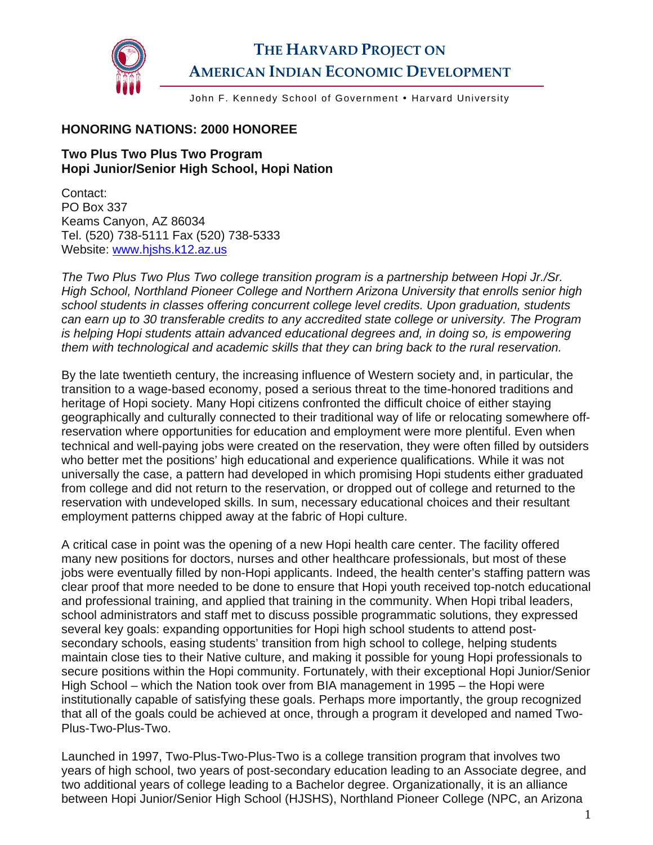

## **THE HARVARD PROJECT ON AMERICAN INDIAN ECONOMIC DEVELOPMENT**

John F. Kennedy School of Government • Harvard University

## **HONORING NATIONS: 2000 HONOREE**

## **Two Plus Two Plus Two Program Hopi Junior/Senior High School, Hopi Nation**

Contact: PO Box 337 Keams Canyon, AZ 86034 Tel. (520) 738-5111 Fax (520) 738-5333 Website: [www.hjshs.k12.az.us](http://www.hjshs.k12.az.us/) 

*The Two Plus Two Plus Two college transition program is a partnership between Hopi Jr./Sr. High School, Northland Pioneer College and Northern Arizona University that enrolls senior high school students in classes offering concurrent college level credits. Upon graduation, students can earn up to 30 transferable credits to any accredited state college or university. The Program*  is helping Hopi students attain advanced educational degrees and, in doing so, is empowering *them with technological and academic skills that they can bring back to the rural reservation.* 

By the late twentieth century, the increasing influence of Western society and, in particular, the transition to a wage-based economy, posed a serious threat to the time-honored traditions and heritage of Hopi society. Many Hopi citizens confronted the difficult choice of either staying geographically and culturally connected to their traditional way of life or relocating somewhere offreservation where opportunities for education and employment were more plentiful. Even when technical and well-paying jobs were created on the reservation, they were often filled by outsiders who better met the positions' high educational and experience qualifications. While it was not universally the case, a pattern had developed in which promising Hopi students either graduated from college and did not return to the reservation, or dropped out of college and returned to the reservation with undeveloped skills. In sum, necessary educational choices and their resultant employment patterns chipped away at the fabric of Hopi culture.

A critical case in point was the opening of a new Hopi health care center. The facility offered many new positions for doctors, nurses and other healthcare professionals, but most of these jobs were eventually filled by non-Hopi applicants. Indeed, the health center's staffing pattern was clear proof that more needed to be done to ensure that Hopi youth received top-notch educational and professional training, and applied that training in the community. When Hopi tribal leaders, school administrators and staff met to discuss possible programmatic solutions, they expressed several key goals: expanding opportunities for Hopi high school students to attend postsecondary schools, easing students' transition from high school to college, helping students maintain close ties to their Native culture, and making it possible for young Hopi professionals to secure positions within the Hopi community. Fortunately, with their exceptional Hopi Junior/Senior High School – which the Nation took over from BIA management in 1995 – the Hopi were institutionally capable of satisfying these goals. Perhaps more importantly, the group recognized that all of the goals could be achieved at once, through a program it developed and named Two-Plus-Two-Plus-Two.

Launched in 1997, Two-Plus-Two-Plus-Two is a college transition program that involves two years of high school, two years of post-secondary education leading to an Associate degree, and two additional years of college leading to a Bachelor degree. Organizationally, it is an alliance between Hopi Junior/Senior High School (HJSHS), Northland Pioneer College (NPC, an Arizona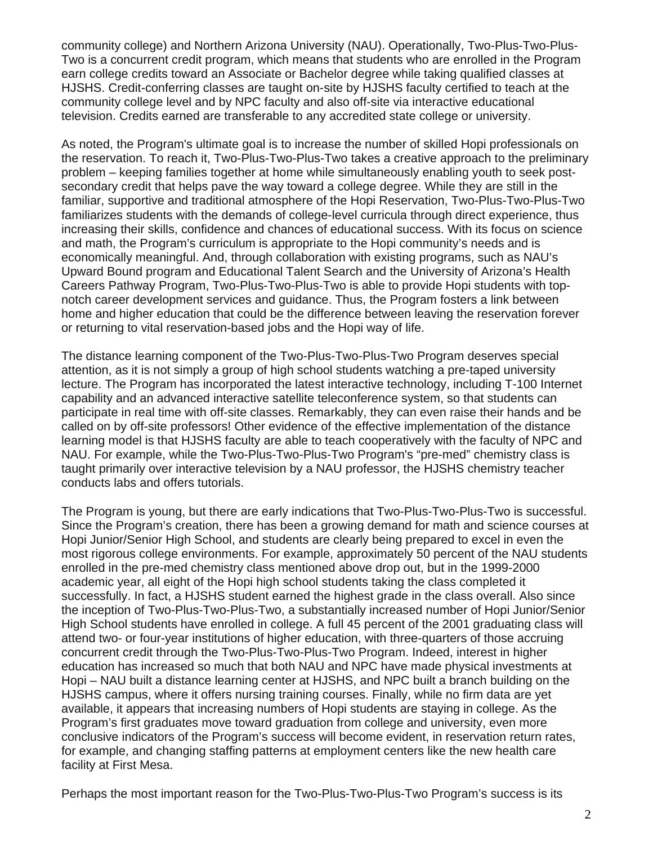community college) and Northern Arizona University (NAU). Operationally, Two-Plus-Two-Plus-Two is a concurrent credit program, which means that students who are enrolled in the Program earn college credits toward an Associate or Bachelor degree while taking qualified classes at HJSHS. Credit-conferring classes are taught on-site by HJSHS faculty certified to teach at the community college level and by NPC faculty and also off-site via interactive educational television. Credits earned are transferable to any accredited state college or university.

As noted, the Program's ultimate goal is to increase the number of skilled Hopi professionals on the reservation. To reach it, Two-Plus-Two-Plus-Two takes a creative approach to the preliminary problem – keeping families together at home while simultaneously enabling youth to seek postsecondary credit that helps pave the way toward a college degree. While they are still in the familiar, supportive and traditional atmosphere of the Hopi Reservation, Two-Plus-Two-Plus-Two familiarizes students with the demands of college-level curricula through direct experience, thus increasing their skills, confidence and chances of educational success. With its focus on science and math, the Program's curriculum is appropriate to the Hopi community's needs and is economically meaningful. And, through collaboration with existing programs, such as NAU's Upward Bound program and Educational Talent Search and the University of Arizona's Health Careers Pathway Program, Two-Plus-Two-Plus-Two is able to provide Hopi students with topnotch career development services and guidance. Thus, the Program fosters a link between home and higher education that could be the difference between leaving the reservation forever or returning to vital reservation-based jobs and the Hopi way of life.

The distance learning component of the Two-Plus-Two-Plus-Two Program deserves special attention, as it is not simply a group of high school students watching a pre-taped university lecture. The Program has incorporated the latest interactive technology, including T-100 Internet capability and an advanced interactive satellite teleconference system, so that students can participate in real time with off-site classes. Remarkably, they can even raise their hands and be called on by off-site professors! Other evidence of the effective implementation of the distance learning model is that HJSHS faculty are able to teach cooperatively with the faculty of NPC and NAU. For example, while the Two-Plus-Two-Plus-Two Program's "pre-med" chemistry class is taught primarily over interactive television by a NAU professor, the HJSHS chemistry teacher conducts labs and offers tutorials.

The Program is young, but there are early indications that Two-Plus-Two-Plus-Two is successful. Since the Program's creation, there has been a growing demand for math and science courses at Hopi Junior/Senior High School, and students are clearly being prepared to excel in even the most rigorous college environments. For example, approximately 50 percent of the NAU students enrolled in the pre-med chemistry class mentioned above drop out, but in the 1999-2000 academic year, all eight of the Hopi high school students taking the class completed it successfully. In fact, a HJSHS student earned the highest grade in the class overall. Also since the inception of Two-Plus-Two-Plus-Two, a substantially increased number of Hopi Junior/Senior High School students have enrolled in college. A full 45 percent of the 2001 graduating class will attend two- or four-year institutions of higher education, with three-quarters of those accruing concurrent credit through the Two-Plus-Two-Plus-Two Program. Indeed, interest in higher education has increased so much that both NAU and NPC have made physical investments at Hopi – NAU built a distance learning center at HJSHS, and NPC built a branch building on the HJSHS campus, where it offers nursing training courses. Finally, while no firm data are yet available, it appears that increasing numbers of Hopi students are staying in college. As the Program's first graduates move toward graduation from college and university, even more conclusive indicators of the Program's success will become evident, in reservation return rates, for example, and changing staffing patterns at employment centers like the new health care facility at First Mesa.

Perhaps the most important reason for the Two-Plus-Two-Plus-Two Program's success is its